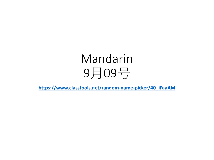# Mandarin 9月09号

**[https://www.classtools.net/random-name-picker/40\\_iFaaAM](https://www.classtools.net/random-name-picker/40_iFaaAM)**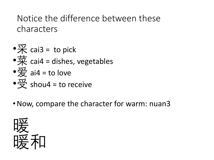## Notice the difference between these characters

- • $\overline{\mathcal{K}}$  cai3 = to pick
- $\frac{1}{10}$  cai4 = dishes, vegetables

• 
$$
\overline{\mathcal{L}}
$$
 ai4 = to love

- $\frac{\pi}{2}$  shou4 = to receive
- •Now, compare the character for warm: nuan3

$$
\begin{array}{c}\n\widetilde{m} \\
\widetilde{m} \\
\widetilde{m} \\
\widetilde{m} \\
\widetilde{m} \\
\widetilde{m} \\
\widetilde{m} \\
\widetilde{m} \\
\widetilde{m} \\
\widetilde{m} \\
\widetilde{m} \\
\widetilde{m} \\
\widetilde{m} \\
\widetilde{m} \\
\widetilde{m} \\
\widetilde{m} \\
\widetilde{m} \\
\widetilde{m} \\
\widetilde{m} \\
\widetilde{m} \\
\widetilde{m} \\
\widetilde{m} \\
\widetilde{m} \\
\widetilde{m} \\
\widetilde{m} \\
\widetilde{m} \\
\widetilde{m} \\
\widetilde{m} \\
\widetilde{m} \\
\widetilde{m} \\
\widetilde{m} \\
\widetilde{m} \\
\widetilde{m} \\
\widetilde{m} \\
\widetilde{m} \\
\widetilde{m} \\
\widetilde{m} \\
\widetilde{m} \\
\widetilde{m} \\
\widetilde{m} \\
\widetilde{m} \\
\widetilde{m} \\
\widetilde{m} \\
\widetilde{m} \\
\widetilde{m} \\
\widetilde{m} \\
\widetilde{m} \\
\widetilde{m} \\
\widetilde{m} \\
\widetilde{m} \\
\widetilde{m} \\
\widetilde{m} \\
\widetilde{m} \\
\widetilde{m} \\
\widetilde{m} \\
\widetilde{m} \\
\widetilde{m} \\
\widetilde{m} \\
\widetilde{m} \\
\widetilde{m} \\
\widetilde{m} \\
\widetilde{m} \\
\widetilde{m} \\
\widetilde{m} \\
\widetilde{m} \\
\widetilde{m} \\
\widetilde{m} \\
\widetilde{m} \\
\widetilde{m} \\
\widetilde{m} \\
\widetilde{m} \\
\widetilde{m} \\
\widetilde{m} \\
\widetilde{m} \\
\widetilde{m} \\
\widetilde{m} \\
\widetilde{m} \\
\widetilde{m} \\
\widetilde{m} \\
\widetilde{m} \\
\widetilde{m} \\
\widetilde{m} \\
\widetilde{m} \\
\widetilde{m} \\
\widetilde{m} \\
\widetilde{m} \\
\widetilde{m} \\
\widetilde{m} \\
\widetilde{m} \\
\widetilde{m} \\
\widetilde{m} \\
\widetilde{m} \\
\widetilde{m} \\
\widetilde{m}
$$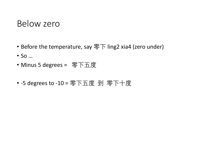### Below zero

- Before the temperature, say  $\sqrt{\overline{P}}$  ling2 xia4 (zero under)
- So …
- Minus 5 degrees = 零下五度
- -5 degrees to -10 = 零下五度 到 零下十度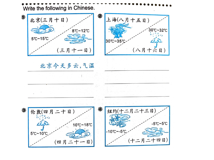

#### 北京今天多云,气温

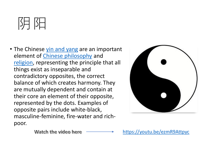

• The Chinese [yin and yang](https://www.ancient.eu/Yin_and_Yang/) are an important element of [Chinese philosophy](https://www.ancient.eu/Chinese_Philosophy/) and [religion,](https://www.ancient.eu/religion/) representing the principle that all things exist as inseparable and contradictory opposites, the correct balance of which creates harmony. They are mutually dependent and contain at their core an element of their opposite, represented by the dots. Examples of opposite pairs include white-black, masculine-feminine, fire-water and richpoor.



Watch the video here

<https://youtu.be/ezmR9Attpyc>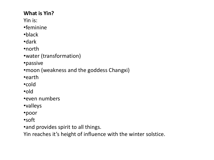#### **What is Yin?** Yin is: •feminine •black •dark •north •water (transformation) •passive •moon (weakness and the goddess Changxi) •earth

•cold

•old

•even numbers

•valleys

•poor

•soft

•and provides spirit to all things.

Yin reaches it's height of influence with the winter solstice.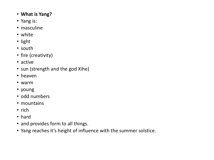- **What is Yang?**
- Yang is:
- masculine
- white
- light
- south
- fire (creativity)
- active
- sun (strength and the god Xihe)
- heaven
- warm
- young
- odd numbers
- mountains
- rich
- hard
- and provides form to all things.
- Yang reaches it's height of influence with the summer solstice.